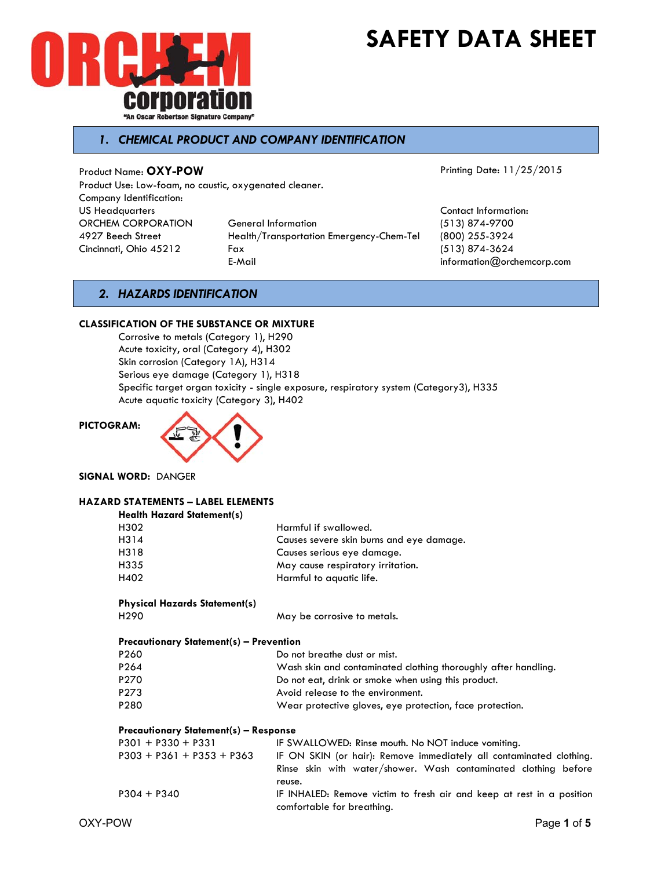



# *1. CHEMICAL PRODUCT AND COMPANY IDENTIFICATION*

Product Name: **OXY-POW** 

Product Use: Low-foam, no caustic, oxygenated cleaner. Company Identification: US Headquarters **Contact Information:** Contact Information: ORCHEM CORPORATION General Information (513) 874-9700 4927 Beech Street Health/Transportation Emergency-Chem-Tel (800) 255-3924 Cincinnati, Ohio 45212 Fax (513) 874-3624

Printing Date: 11/25/2015

E-Mail information@orchemcorp.com

## *2. HAZARDS IDENTIFICATION*

#### **CLASSIFICATION OF THE SUBSTANCE OR MIXTURE**

Corrosive to metals (Category 1), H290 Acute toxicity, oral (Category 4), H302 Skin corrosion (Category 1A), H314 Serious eye damage (Category 1), H318 Specific target organ toxicity - single exposure, respiratory system (Category3), H335 Acute aquatic toxicity (Category 3), H402

#### **PICTOGRAM:**



**SIGNAL WORD:** DANGER

#### **HAZARD STATEMENTS – LABEL ELEMENTS Health Hazard Statement(s)**

| <b>HEATH HULLER SIGNETHEM</b>                  |                                                                |
|------------------------------------------------|----------------------------------------------------------------|
| H302                                           | Harmful if swallowed.                                          |
| H314                                           | Causes severe skin burns and eye damage.                       |
| H318                                           | Causes serious eye damage.                                     |
| H335                                           | May cause respiratory irritation.                              |
| H402                                           | Harmful to aquatic life.                                       |
| <b>Physical Hazards Statement(s)</b>           |                                                                |
| H <sub>290</sub>                               | May be corrosive to metals.                                    |
| <b>Precautionary Statement(s) - Prevention</b> |                                                                |
| P260                                           | Do not breathe dust or mist.                                   |
| P <sub>264</sub>                               | Wash skin and contaminated clothing thoroughly after handling. |
| P270                                           | Do not eat, drink or smoke when using this product.            |
| P273                                           | Avoid release to the environment.                              |
| P280                                           | Wear protective gloves, eye protection, face protection.       |
|                                                |                                                                |
|                                                |                                                                |

### **Precautionary Statement(s) – Response**

| $P301 + P330 + P331$        | IF SWALLOWED: Rinse mouth. No NOT induce vomiting.                                                  |
|-----------------------------|-----------------------------------------------------------------------------------------------------|
| $P303 + P361 + P353 + P363$ | IF ON SKIN (or hair): Remove immediately all contaminated clothing.                                 |
|                             | Rinse skin with water/shower. Wash contaminated clothing before                                     |
|                             | reuse.                                                                                              |
| $P304 + P340$               | IF INHALED: Remove victim to fresh air and keep at rest in a position<br>comfortable for breathing. |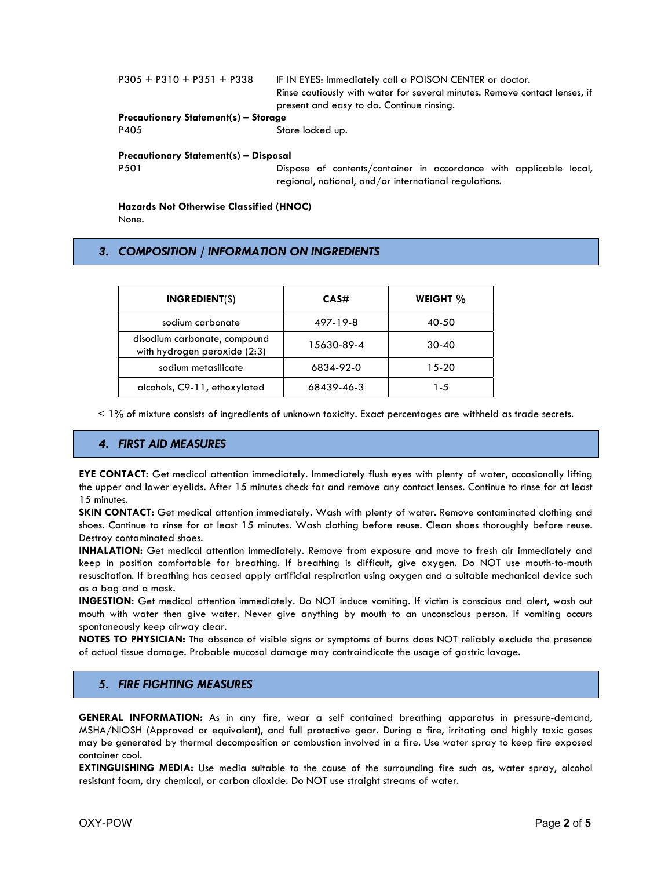| $P305 + P310 + P351 + P338$                  | IF IN EYES: Immediately call a POISON CENTER or doctor.<br>Rinse cautiously with water for several minutes. Remove contact lenses, if<br>present and easy to do. Continue rinsing. |  |  |
|----------------------------------------------|------------------------------------------------------------------------------------------------------------------------------------------------------------------------------------|--|--|
| <b>Precautionary Statement(s) – Storage</b>  |                                                                                                                                                                                    |  |  |
|                                              |                                                                                                                                                                                    |  |  |
| P405                                         | Store locked up.                                                                                                                                                                   |  |  |
| <b>Precautionary Statement(s) - Disposal</b> |                                                                                                                                                                                    |  |  |
| P <sub>501</sub>                             | Dispose of contents/container in accordance with applicable local,                                                                                                                 |  |  |
|                                              |                                                                                                                                                                                    |  |  |
|                                              | regional, national, and/or international regulations.                                                                                                                              |  |  |

**Hazards Not Otherwise Classified (HNOC)**  None.

## *3. COMPOSITION / INFORMATION ON INGREDIENTS*

| <b>INGREDIENT(S)</b>                                         | CAS#       | WEIGHT %  |
|--------------------------------------------------------------|------------|-----------|
| sodium carbonate                                             | 497-19-8   | 40-50     |
| disodium carbonate, compound<br>with hydrogen peroxide (2:3) | 15630-89-4 | $30-40$   |
| sodium metasilicate                                          | 6834-92-0  | $15 - 20$ |
| alcohols, C9-11, ethoxylated                                 | 68439-46-3 | 1-5       |

< 1% of mixture consists of ingredients of unknown toxicity. Exact percentages are withheld as trade secrets.

### *4. FIRST AID MEASURES*

**EYE CONTACT:** Get medical attention immediately. Immediately flush eyes with plenty of water, occasionally lifting the upper and lower eyelids. After 15 minutes check for and remove any contact lenses. Continue to rinse for at least 15 minutes.

**SKIN CONTACT:** Get medical attention immediately. Wash with plenty of water. Remove contaminated clothing and shoes. Continue to rinse for at least 15 minutes. Wash clothing before reuse. Clean shoes thoroughly before reuse. Destroy contaminated shoes.

**INHALATION:** Get medical attention immediately. Remove from exposure and move to fresh air immediately and keep in position comfortable for breathing. If breathing is difficult, give oxygen. Do NOT use mouth-to-mouth resuscitation. If breathing has ceased apply artificial respiration using oxygen and a suitable mechanical device such as a bag and a mask.

**INGESTION:** Get medical attention immediately. Do NOT induce vomiting. If victim is conscious and alert, wash out mouth with water then give water. Never give anything by mouth to an unconscious person. If vomiting occurs spontaneously keep airway clear.

**NOTES TO PHYSICIAN:** The absence of visible signs or symptoms of burns does NOT reliably exclude the presence of actual tissue damage. Probable mucosal damage may contraindicate the usage of gastric lavage.

#### *5. FIRE FIGHTING MEASURES*

**GENERAL INFORMATION:** As in any fire, wear a self contained breathing apparatus in pressure-demand, MSHA/NIOSH (Approved or equivalent), and full protective gear. During a fire, irritating and highly toxic gases may be generated by thermal decomposition or combustion involved in a fire. Use water spray to keep fire exposed container cool.

**EXTINGUISHING MEDIA:** Use media suitable to the cause of the surrounding fire such as, water spray, alcohol resistant foam, dry chemical, or carbon dioxide. Do NOT use straight streams of water.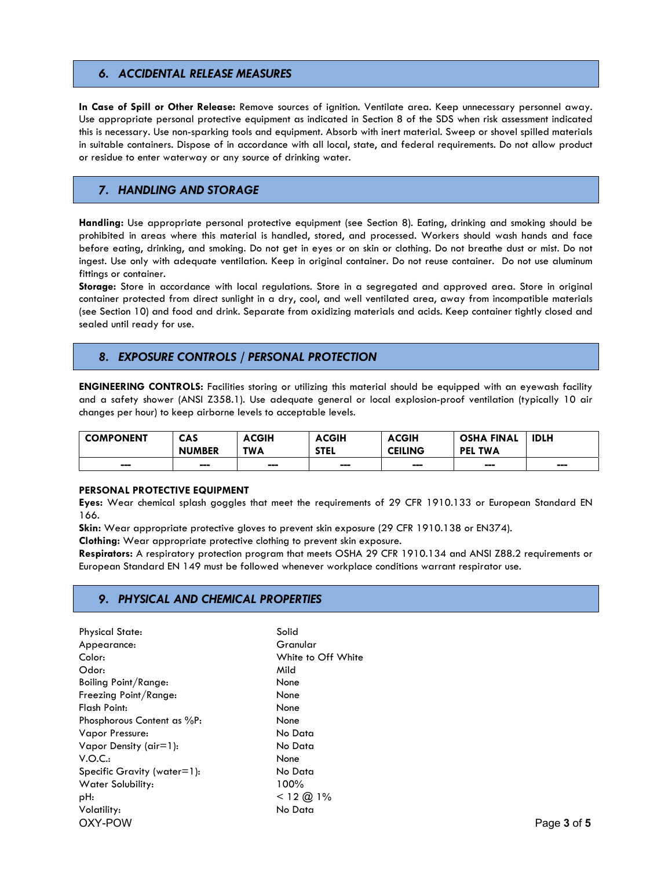## *6. ACCIDENTAL RELEASE MEASURES*

**In Case of Spill or Other Release:** Remove sources of ignition. Ventilate area. Keep unnecessary personnel away. Use appropriate personal protective equipment as indicated in Section 8 of the SDS when risk assessment indicated this is necessary. Use non-sparking tools and equipment. Absorb with inert material. Sweep or shovel spilled materials in suitable containers. Dispose of in accordance with all local, state, and federal requirements. Do not allow product or residue to enter waterway or any source of drinking water.

## *7. HANDLING AND STORAGE*

**Handling:** Use appropriate personal protective equipment (see Section 8). Eating, drinking and smoking should be prohibited in areas where this material is handled, stored, and processed. Workers should wash hands and face before eating, drinking, and smoking. Do not get in eyes or on skin or clothing. Do not breathe dust or mist. Do not ingest. Use only with adequate ventilation. Keep in original container. Do not reuse container. Do not use aluminum fittings or container.

**Storage:** Store in accordance with local regulations. Store in a segregated and approved area. Store in original container protected from direct sunlight in a dry, cool, and well ventilated area, away from incompatible materials (see Section 10) and food and drink. Separate from oxidizing materials and acids. Keep container tightly closed and sealed until ready for use.

# *8. EXPOSURE CONTROLS / PERSONAL PROTECTION*

**ENGINEERING CONTROLS:** Facilities storing or utilizing this material should be equipped with an eyewash facility and a safety shower (ANSI Z358.1). Use adequate general or local explosion-proof ventilation (typically 10 air changes per hour) to keep airborne levels to acceptable levels.

| <b>COMPONENT</b> | <b>CAS</b><br><b>NUMBER</b> | <b>ACGIH</b><br><b>TWA</b>   | <b>ACGIH</b><br><b>STEL</b> | <b>ACGIH</b><br><b>CEILING</b> | <b>OSHA FINAL</b><br>TWA<br><b>PEL</b> | <b>IDLH</b>            |
|------------------|-----------------------------|------------------------------|-----------------------------|--------------------------------|----------------------------------------|------------------------|
| ---              | ---                         | $\qquad \qquad \blacksquare$ | ---                         | ---                            | ---                                    | $\qquad \qquad \cdots$ |

#### **PERSONAL PROTECTIVE EQUIPMENT**

**Eyes:** Wear chemical splash goggles that meet the requirements of 29 CFR 1910.133 or European Standard EN 166.

**Skin:** Wear appropriate protective gloves to prevent skin exposure (29 CFR 1910.138 or EN374).

**Clothing:** Wear appropriate protective clothing to prevent skin exposure.

**Respirators:** A respiratory protection program that meets OSHA 29 CFR 1910.134 and ANSI Z88.2 requirements or European Standard EN 149 must be followed whenever workplace conditions warrant respirator use.

#### *9. PHYSICAL AND CHEMICAL PROPERTIES*

OXY-POW Page **3** of **5** Physical State: Solid Appearance: Granular Color: White to Off White Odor: Mild Boiling Point/Range: None Freezing Point/Range: None Flash Point: None Phosphorous Content as %P: None Vapor Pressure: No Data Vapor Density (air=1): No Data V.O.C.: None Specific Gravity (water=1): No Data Water Solubility: 100% pH:  $< 12 \text{ } @.1\%$ Volatility: No Data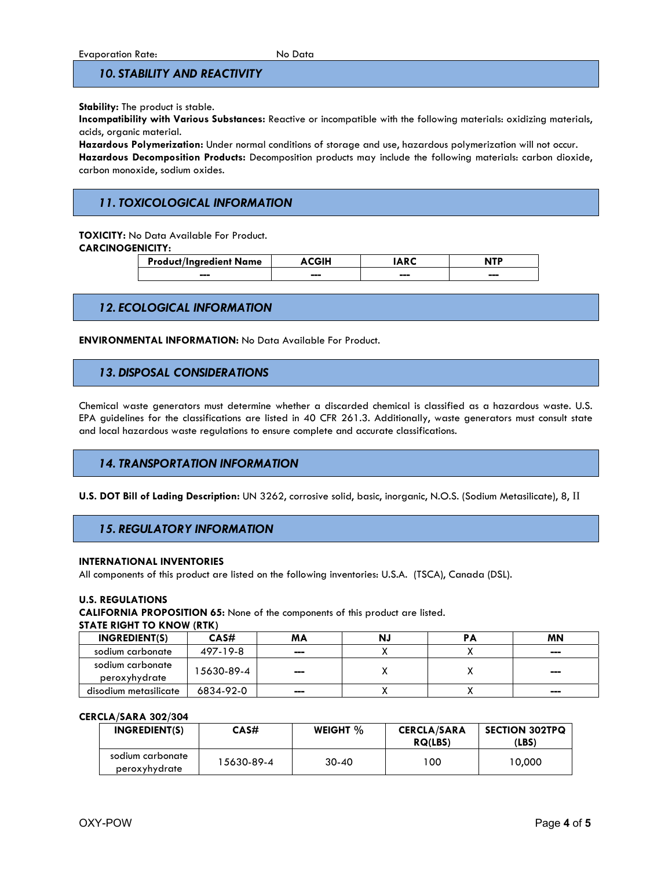## *10. STABILITY AND REACTIVITY*

#### **Stability:** The product is stable.

**Incompatibility with Various Substances:** Reactive or incompatible with the following materials: oxidizing materials, acids, organic material.

**Hazardous Polymerization:** Under normal conditions of storage and use, hazardous polymerization will not occur. **Hazardous Decomposition Products:** Decomposition products may include the following materials: carbon dioxide, carbon monoxide, sodium oxides.

# *11. TOXICOLOGICAL INFORMATION*

**TOXICITY:** No Data Available For Product.

**CARCINOGENICITY:** 

| <b>Product/Ingredient Name</b> |     |     | utn |
|--------------------------------|-----|-----|-----|
| ---                            | --- | --- | --- |

## *12. ECOLOGICAL INFORMATION*

**ENVIRONMENTAL INFORMATION:** No Data Available For Product.

## *13. DISPOSAL CONSIDERATIONS*

Chemical waste generators must determine whether a discarded chemical is classified as a hazardous waste. U.S. EPA guidelines for the classifications are listed in 40 CFR 261.3. Additionally, waste generators must consult state and local hazardous waste regulations to ensure complete and accurate classifications.

#### *14. TRANSPORTATION INFORMATION*

**U.S. DOT Bill of Lading Description:** UN 3262, corrosive solid, basic, inorganic, N.O.S. (Sodium Metasilicate), 8, II

#### *15. REGULATORY INFORMATION*

#### **INTERNATIONAL INVENTORIES**

All components of this product are listed on the following inventories: U.S.A. (TSCA), Canada (DSL).

#### **U.S. REGULATIONS**

**CALIFORNIA PROPOSITION 65:** None of the components of this product are listed.

#### **STATE RIGHT TO KNOW (RTK)**

| <b>INGREDIENT(S)</b>              | CAS#       | ΜA  | N. | РA | <b>MN</b> |
|-----------------------------------|------------|-----|----|----|-----------|
| sodium carbonate                  | 497-19-8   | --- |    |    | ---       |
| sodium carbonate<br>peroxyhydrate | 15630-89-4 | --- |    |    | ---       |
| disodium metasilicate             | 6834-92-0  | --- |    |    | ---       |

#### **CERCLA/SARA 302/304**

| INGREDIENT(S)                     | CAS#       | WEIGHT $\%$ | <b>CERCLA/SARA</b><br><b>RQ(LBS)</b> | <b>SECTION 302TPQ</b><br>(LBS) |
|-----------------------------------|------------|-------------|--------------------------------------|--------------------------------|
| sodium carbonate<br>peroxyhydrate | 15630-89-4 | $30 - 40$   | 00 ا                                 | 10,000                         |